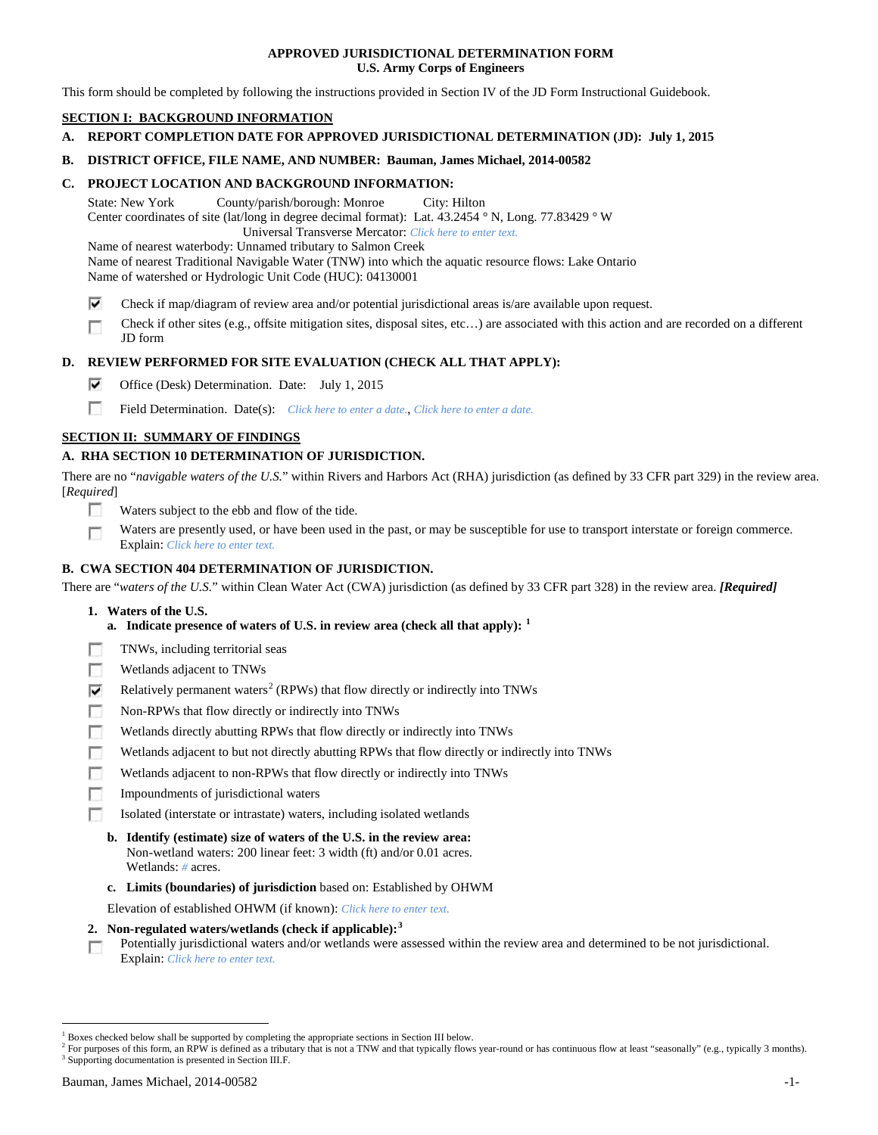## **APPROVED JURISDICTIONAL DETERMINATION FORM U.S. Army Corps of Engineers**

This form should be completed by following the instructions provided in Section IV of the JD Form Instructional Guidebook.

# **SECTION I: BACKGROUND INFORMATION**

**A. REPORT COMPLETION DATE FOR APPROVED JURISDICTIONAL DETERMINATION (JD): July 1, 2015**

## **B. DISTRICT OFFICE, FILE NAME, AND NUMBER: Bauman, James Michael, 2014-00582**

## **C. PROJECT LOCATION AND BACKGROUND INFORMATION:**

State: New York County/parish/borough: Monroe City: Hilton Center coordinates of site (lat/long in degree decimal format): Lat. 43.2454 ° N, Long. 77.83429 ° W Universal Transverse Mercator: *Click here to enter text.*

Name of nearest waterbody: Unnamed tributary to Salmon Creek Name of nearest Traditional Navigable Water (TNW) into which the aquatic resource flows: Lake Ontario Name of watershed or Hydrologic Unit Code (HUC): 04130001

- ⊽ Check if map/diagram of review area and/or potential jurisdictional areas is/are available upon request.
- Check if other sites (e.g., offsite mitigation sites, disposal sites, etc…) are associated with this action and are recorded on a different г JD form

## **D. REVIEW PERFORMED FOR SITE EVALUATION (CHECK ALL THAT APPLY):**

- ⊽ Office (Desk) Determination. Date: July 1, 2015
- m Field Determination. Date(s): *Click here to enter a date.*, *Click here to enter a date.*

## **SECTION II: SUMMARY OF FINDINGS**

## **A. RHA SECTION 10 DETERMINATION OF JURISDICTION.**

There are no "*navigable waters of the U.S.*" within Rivers and Harbors Act (RHA) jurisdiction (as defined by 33 CFR part 329) in the review area. [*Required*]

- n Waters subject to the ebb and flow of the tide.
- Waters are presently used, or have been used in the past, or may be susceptible for use to transport interstate or foreign commerce. п Explain: *Click here to enter text.*

## **B. CWA SECTION 404 DETERMINATION OF JURISDICTION.**

There are "*waters of the U.S.*" within Clean Water Act (CWA) jurisdiction (as defined by 33 CFR part 328) in the review area. *[Required]*

- **1. Waters of the U.S.**
	- **a. Indicate presence of waters of U.S. in review area (check all that apply): [1](#page-0-0)**
- Е TNWs, including territorial seas
- п Wetlands adjacent to TNWs
- Relatively permanent waters<sup>[2](#page-0-1)</sup> (RPWs) that flow directly or indirectly into TNWs ⊽
- г Non-RPWs that flow directly or indirectly into TNWs
- п Wetlands directly abutting RPWs that flow directly or indirectly into TNWs
- Wetlands adjacent to but not directly abutting RPWs that flow directly or indirectly into TNWs Е
- Wetlands adjacent to non-RPWs that flow directly or indirectly into TNWs г
- г Impoundments of jurisdictional waters
- Isolated (interstate or intrastate) waters, including isolated wetlands п
	- **b. Identify (estimate) size of waters of the U.S. in the review area:** Non-wetland waters: 200 linear feet: 3 width (ft) and/or 0.01 acres. Wetlands: *#* acres.
	- **c. Limits (boundaries) of jurisdiction** based on: Established by OHWM

Elevation of established OHWM (if known): *Click here to enter text.*

- **2. Non-regulated waters/wetlands (check if applicable): [3](#page-0-2)**
- Potentially jurisdictional waters and/or wetlands were assessed within the review area and determined to be not jurisdictional. п Explain: *Click here to enter text.*

<span id="page-0-0"></span><sup>&</sup>lt;sup>1</sup> Boxes checked below shall be supported by completing the appropriate sections in Section III below.

<span id="page-0-2"></span><span id="page-0-1"></span> $^2$  For purposes of this form, an RPW is defined as a tributary that is not a TNW and that typically flows year-round or has continuous flow at least "seasonally" (e.g., typically 3 months). 3 Supporting documentation is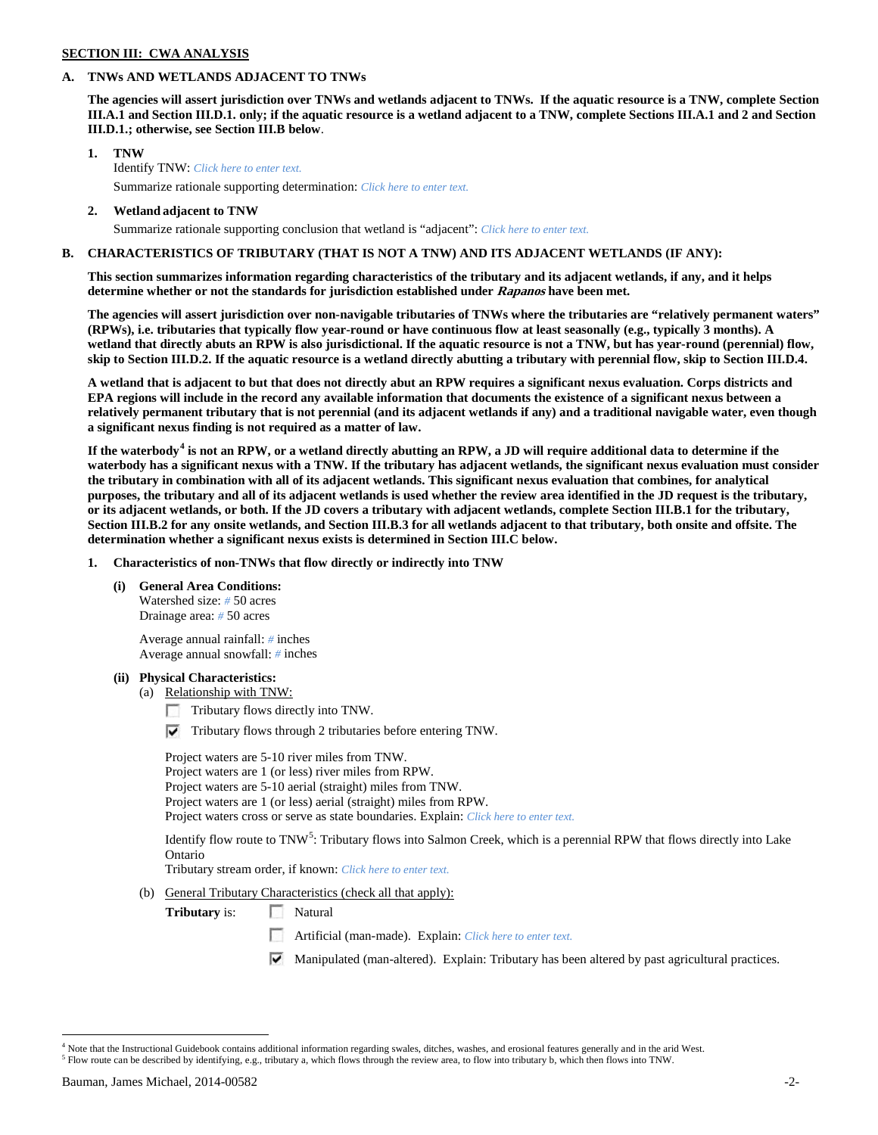#### **SECTION III: CWA ANALYSIS**

## **A. TNWs AND WETLANDS ADJACENT TO TNWs**

**The agencies will assert jurisdiction over TNWs and wetlands adjacent to TNWs. If the aquatic resource is a TNW, complete Section III.A.1 and Section III.D.1. only; if the aquatic resource is a wetland adjacent to a TNW, complete Sections III.A.1 and 2 and Section III.D.1.; otherwise, see Section III.B below**.

- **1. TNW**  Identify TNW: *Click here to enter text.*
	- Summarize rationale supporting determination: *Click here to enter text.*
- **2. Wetland adjacent to TNW** Summarize rationale supporting conclusion that wetland is "adjacent": *Click here to enter text.*

## **B. CHARACTERISTICS OF TRIBUTARY (THAT IS NOT A TNW) AND ITS ADJACENT WETLANDS (IF ANY):**

**This section summarizes information regarding characteristics of the tributary and its adjacent wetlands, if any, and it helps determine whether or not the standards for jurisdiction established under Rapanos have been met.** 

**The agencies will assert jurisdiction over non-navigable tributaries of TNWs where the tributaries are "relatively permanent waters" (RPWs), i.e. tributaries that typically flow year-round or have continuous flow at least seasonally (e.g., typically 3 months). A wetland that directly abuts an RPW is also jurisdictional. If the aquatic resource is not a TNW, but has year-round (perennial) flow, skip to Section III.D.2. If the aquatic resource is a wetland directly abutting a tributary with perennial flow, skip to Section III.D.4.**

**A wetland that is adjacent to but that does not directly abut an RPW requires a significant nexus evaluation. Corps districts and EPA regions will include in the record any available information that documents the existence of a significant nexus between a relatively permanent tributary that is not perennial (and its adjacent wetlands if any) and a traditional navigable water, even though a significant nexus finding is not required as a matter of law.**

**If the waterbody[4](#page-1-0) is not an RPW, or a wetland directly abutting an RPW, a JD will require additional data to determine if the waterbody has a significant nexus with a TNW. If the tributary has adjacent wetlands, the significant nexus evaluation must consider the tributary in combination with all of its adjacent wetlands. This significant nexus evaluation that combines, for analytical purposes, the tributary and all of its adjacent wetlands is used whether the review area identified in the JD request is the tributary, or its adjacent wetlands, or both. If the JD covers a tributary with adjacent wetlands, complete Section III.B.1 for the tributary, Section III.B.2 for any onsite wetlands, and Section III.B.3 for all wetlands adjacent to that tributary, both onsite and offsite. The determination whether a significant nexus exists is determined in Section III.C below.**

**1. Characteristics of non-TNWs that flow directly or indirectly into TNW**

#### **(i) General Area Conditions:**

Watershed size: *#* 50 acres Drainage area: *#* 50 acres

Average annual rainfall: *#* inches Average annual snowfall: *#* inches

#### **(ii) Physical Characteristics:**

- (a) Relationship with TNW:
	- Tributary flows directly into TNW.
	- $\triangledown$  Tributary flows through 2 tributaries before entering TNW.

Project waters are 5-10 river miles from TNW. Project waters are 1 (or less) river miles from RPW. Project waters are 5-10 aerial (straight) miles from TNW. Project waters are 1 (or less) aerial (straight) miles from RPW. Project waters cross or serve as state boundaries. Explain: *Click here to enter text.*

Identify flow route to TNW<sup>[5](#page-1-1)</sup>: Tributary flows into Salmon Creek, which is a perennial RPW that flows directly into Lake Ontario

Tributary stream order, if known: *Click here to enter text.*

(b) General Tributary Characteristics (check all that apply):

**Tributary** is: Natural

- Artificial (man-made). Explain: *Click here to enter text.*
- Manipulated (man-altered). Explain: Tributary has been altered by past agricultural practices.

<span id="page-1-1"></span><span id="page-1-0"></span> $4$  Note that the Instructional Guidebook contains additional information regarding swales, ditches, washes, and erosional features generally and in the arid West.<br> $5$  Flow route can be described by identifying, e.g., tri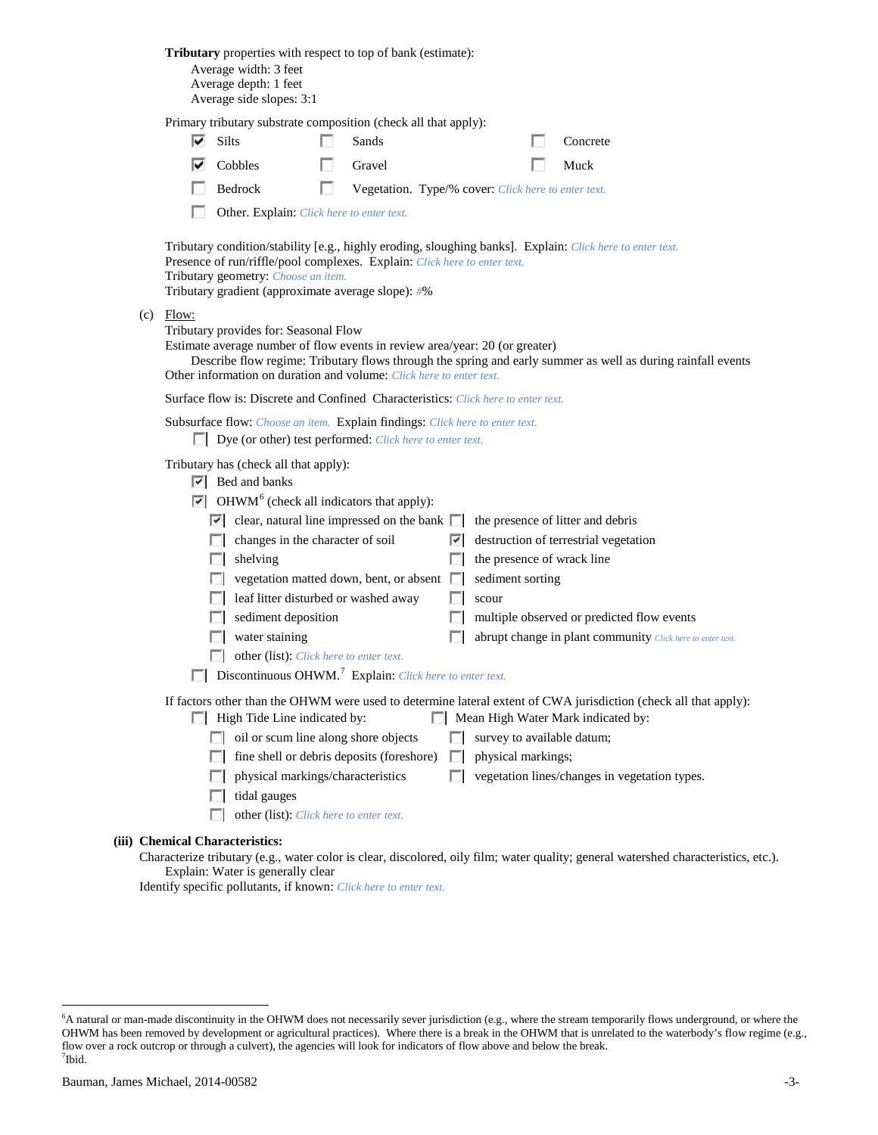|                                                                                                                                                                                                                                                                                                                                                                                                                                                                                                                                           |                                                                                                                                                                                                                                                                                                                                                                                                                                                                                                                                                                                                                                                                                                                                                                                                                                                         | <b>Tributary</b> properties with respect to top of bank (estimate):<br>Average width: 3 feet<br>Average depth: 1 feet |   |        |        |                                                     |                                               |                                                                                                                                     |  |
|-------------------------------------------------------------------------------------------------------------------------------------------------------------------------------------------------------------------------------------------------------------------------------------------------------------------------------------------------------------------------------------------------------------------------------------------------------------------------------------------------------------------------------------------|---------------------------------------------------------------------------------------------------------------------------------------------------------------------------------------------------------------------------------------------------------------------------------------------------------------------------------------------------------------------------------------------------------------------------------------------------------------------------------------------------------------------------------------------------------------------------------------------------------------------------------------------------------------------------------------------------------------------------------------------------------------------------------------------------------------------------------------------------------|-----------------------------------------------------------------------------------------------------------------------|---|--------|--------|-----------------------------------------------------|-----------------------------------------------|-------------------------------------------------------------------------------------------------------------------------------------|--|
|                                                                                                                                                                                                                                                                                                                                                                                                                                                                                                                                           | Average side slopes: 3:1<br>Primary tributary substrate composition (check all that apply):<br>$\overline{\triangledown}$ Silts<br>Sands<br>Concrete                                                                                                                                                                                                                                                                                                                                                                                                                                                                                                                                                                                                                                                                                                    |                                                                                                                       |   |        |        |                                                     |                                               |                                                                                                                                     |  |
|                                                                                                                                                                                                                                                                                                                                                                                                                                                                                                                                           |                                                                                                                                                                                                                                                                                                                                                                                                                                                                                                                                                                                                                                                                                                                                                                                                                                                         | Cobbles                                                                                                               |   | Gravel |        |                                                     | Muck                                          |                                                                                                                                     |  |
|                                                                                                                                                                                                                                                                                                                                                                                                                                                                                                                                           |                                                                                                                                                                                                                                                                                                                                                                                                                                                                                                                                                                                                                                                                                                                                                                                                                                                         | Bedrock                                                                                                               | г |        |        | Vegetation. Type/% cover: Click here to enter text. |                                               |                                                                                                                                     |  |
|                                                                                                                                                                                                                                                                                                                                                                                                                                                                                                                                           |                                                                                                                                                                                                                                                                                                                                                                                                                                                                                                                                                                                                                                                                                                                                                                                                                                                         | Other. Explain: Click here to enter text.                                                                             |   |        |        |                                                     |                                               |                                                                                                                                     |  |
| Tributary condition/stability [e.g., highly eroding, sloughing banks]. Explain: Click here to enter text.<br>Presence of run/riffle/pool complexes. Explain: Click here to enter text.<br>Tributary geometry: Choose an item.<br>Tributary gradient (approximate average slope): #%<br>$(c)$ Flow:<br>Tributary provides for: Seasonal Flow<br>Estimate average number of flow events in review area/year: 20 (or greater)<br>Describe flow regime: Tributary flows through the spring and early summer as well as during rainfall events |                                                                                                                                                                                                                                                                                                                                                                                                                                                                                                                                                                                                                                                                                                                                                                                                                                                         |                                                                                                                       |   |        |        |                                                     |                                               |                                                                                                                                     |  |
|                                                                                                                                                                                                                                                                                                                                                                                                                                                                                                                                           | Other information on duration and volume: Click here to enter text.<br>Surface flow is: Discrete and Confined Characteristics: Click here to enter text.                                                                                                                                                                                                                                                                                                                                                                                                                                                                                                                                                                                                                                                                                                |                                                                                                                       |   |        |        |                                                     |                                               |                                                                                                                                     |  |
|                                                                                                                                                                                                                                                                                                                                                                                                                                                                                                                                           | Subsurface flow: Choose an item. Explain findings: Click here to enter text.<br>Dye (or other) test performed: Click here to enter text.                                                                                                                                                                                                                                                                                                                                                                                                                                                                                                                                                                                                                                                                                                                |                                                                                                                       |   |        |        |                                                     |                                               |                                                                                                                                     |  |
|                                                                                                                                                                                                                                                                                                                                                                                                                                                                                                                                           | Tributary has (check all that apply):<br>$ \nabla $ Bed and banks<br>$\triangleright$ OHWM <sup>6</sup> (check all indicators that apply):<br>$\triangleright$ clear, natural line impressed on the bank<br>the presence of litter and debris<br>destruction of terrestrial vegetation<br>changes in the character of soil<br>$\overline{\phantom{a}}$<br>the presence of wrack line<br>shelving<br>$\sim$<br>vegetation matted down, bent, or absent<br>sediment sorting<br>leaf litter disturbed or washed away<br>$\sim$<br>scour<br>L.<br>sediment deposition<br>multiple observed or predicted flow events<br><b>In</b><br>$\sim 10$<br>water staining<br>п<br>abrupt change in plant community Click here to enter text.<br>other (list): Click here to enter text.<br>$\Box$ Discontinuous OHWM. <sup>7</sup> Explain: Click here to enter text. |                                                                                                                       |   |        |        |                                                     |                                               |                                                                                                                                     |  |
| If factors other than the OHWM were used to determine lateral extent of CWA jurisdiction (check all that apply):<br>High Tide Line indicated by:<br>Mean High Water Mark indicated by:                                                                                                                                                                                                                                                                                                                                                    |                                                                                                                                                                                                                                                                                                                                                                                                                                                                                                                                                                                                                                                                                                                                                                                                                                                         |                                                                                                                       |   |        |        |                                                     |                                               |                                                                                                                                     |  |
|                                                                                                                                                                                                                                                                                                                                                                                                                                                                                                                                           |                                                                                                                                                                                                                                                                                                                                                                                                                                                                                                                                                                                                                                                                                                                                                                                                                                                         | $\Box$ oil or scum line along shore objects                                                                           |   |        |        | survey to available datum;                          |                                               |                                                                                                                                     |  |
|                                                                                                                                                                                                                                                                                                                                                                                                                                                                                                                                           |                                                                                                                                                                                                                                                                                                                                                                                                                                                                                                                                                                                                                                                                                                                                                                                                                                                         | fine shell or debris deposits (foreshore)                                                                             |   |        | $\sim$ | physical markings;                                  |                                               |                                                                                                                                     |  |
|                                                                                                                                                                                                                                                                                                                                                                                                                                                                                                                                           |                                                                                                                                                                                                                                                                                                                                                                                                                                                                                                                                                                                                                                                                                                                                                                                                                                                         | physical markings/characteristics                                                                                     |   |        | п      |                                                     | vegetation lines/changes in vegetation types. |                                                                                                                                     |  |
|                                                                                                                                                                                                                                                                                                                                                                                                                                                                                                                                           |                                                                                                                                                                                                                                                                                                                                                                                                                                                                                                                                                                                                                                                                                                                                                                                                                                                         | tidal gauges<br>n<br>other (list): Click here to enter text.                                                          |   |        |        |                                                     |                                               |                                                                                                                                     |  |
|                                                                                                                                                                                                                                                                                                                                                                                                                                                                                                                                           |                                                                                                                                                                                                                                                                                                                                                                                                                                                                                                                                                                                                                                                                                                                                                                                                                                                         | (iii) Chemical Characteristics:                                                                                       |   |        |        |                                                     |                                               |                                                                                                                                     |  |
|                                                                                                                                                                                                                                                                                                                                                                                                                                                                                                                                           |                                                                                                                                                                                                                                                                                                                                                                                                                                                                                                                                                                                                                                                                                                                                                                                                                                                         | Explain: Water is generally clear                                                                                     |   |        |        |                                                     |                                               | Characterize tributary (e.g., water color is clear, discolored, oily film; water quality; general watershed characteristics, etc.). |  |

Identify specific pollutants, if known: *Click here to enter text.*

<span id="page-2-1"></span><span id="page-2-0"></span> <sup>6</sup> <sup>6</sup>A natural or man-made discontinuity in the OHWM does not necessarily sever jurisdiction (e.g., where the stream temporarily flows underground, or where the OHWM has been removed by development or agricultural practices). Where there is a break in the OHWM that is unrelated to the waterbody's flow regime (e.g., flow over a rock outcrop or through a culvert), the agencies will look for indicators of flow above and below the break. 7 Ibid.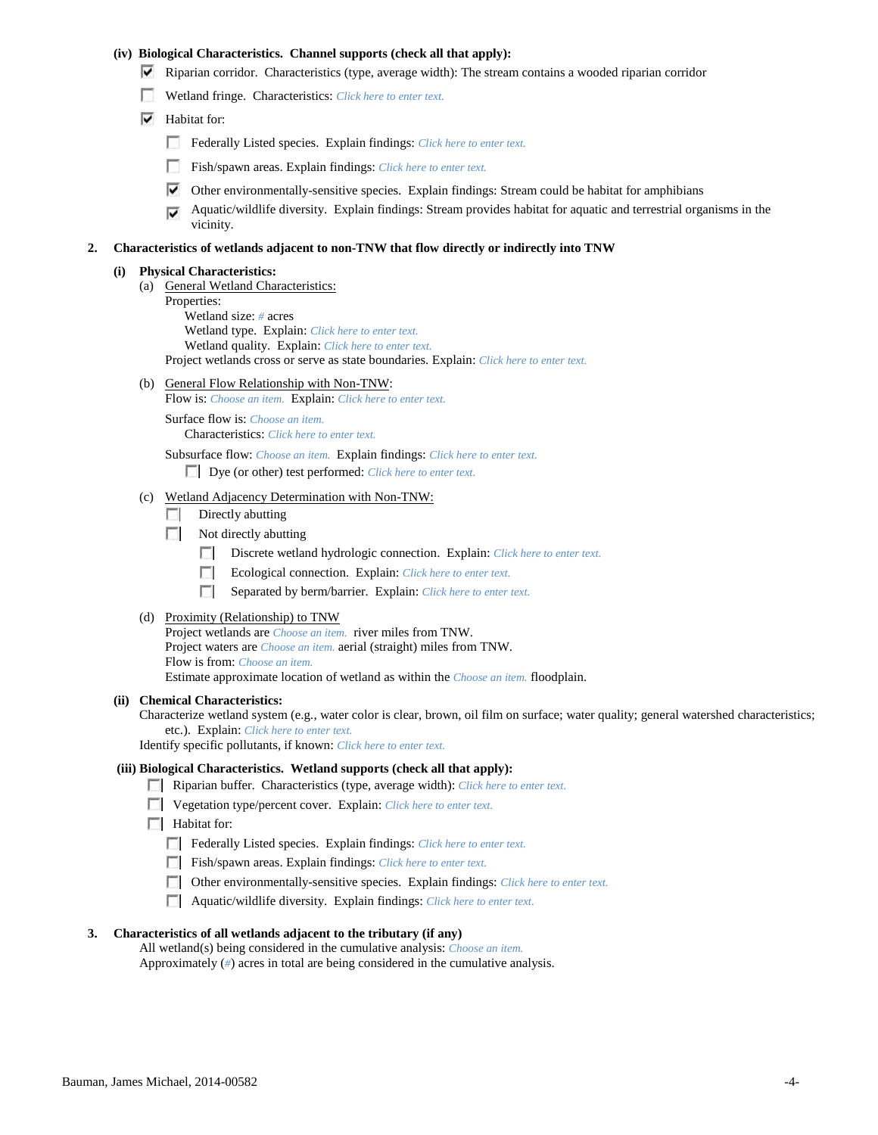## **(iv) Biological Characteristics. Channel supports (check all that apply):**

- $\triangledown$  Riparian corridor. Characteristics (type, average width): The stream contains a wooded riparian corridor
- Wetland fringe. Characteristics: *Click here to enter text.*
- $\blacktriangleright$  Habitat for:
	- Federally Listed species. Explain findings: *Click here to enter text.*
	- Fish/spawn areas. Explain findings: *Click here to enter text.*
	- $\triangledown$  Other environmentally-sensitive species. Explain findings: Stream could be habitat for amphibians
	- Aquatic/wildlife diversity. Explain findings: Stream provides habitat for aquatic and terrestrial organisms in the ⊽ vicinity.

#### **2. Characteristics of wetlands adjacent to non-TNW that flow directly or indirectly into TNW**

#### **(i) Physical Characteristics:**

- (a) General Wetland Characteristics:
	- Properties: Wetland size: *#* acres
		- Wetland type. Explain: *Click here to enter text.*
		- Wetland quality. Explain: *Click here to enter text.*

Project wetlands cross or serve as state boundaries. Explain: *Click here to enter text.*

(b) General Flow Relationship with Non-TNW:

Flow is: *Choose an item.* Explain: *Click here to enter text.*

Surface flow is: *Choose an item.* Characteristics: *Click here to enter text.*

Subsurface flow: *Choose an item.* Explain findings: *Click here to enter text.* Dye (or other) test performed: *Click here to enter text.*

- (c) Wetland Adjacency Determination with Non-TNW:
	- $\Box$  Directly abutting
	- $\Box$  Not directly abutting
		- Discrete wetland hydrologic connection. Explain: *Click here to enter text.*
		- Ecological connection. Explain: *Click here to enter text.*
		- Separated by berm/barrier. Explain: *Click here to enter text.*

## (d) Proximity (Relationship) to TNW

Project wetlands are *Choose an item.* river miles from TNW. Project waters are *Choose an item.* aerial (straight) miles from TNW. Flow is from: *Choose an item.* Estimate approximate location of wetland as within the *Choose an item.* floodplain.

#### **(ii) Chemical Characteristics:**

Characterize wetland system (e.g., water color is clear, brown, oil film on surface; water quality; general watershed characteristics; etc.). Explain: *Click here to enter text.*

Identify specific pollutants, if known: *Click here to enter text.*

# **(iii) Biological Characteristics. Wetland supports (check all that apply):**

- Riparian buffer. Characteristics (type, average width): *Click here to enter text.*
- Vegetation type/percent cover. Explain: *Click here to enter text.*
- **Habitat for:** 
	- Federally Listed species. Explain findings: *Click here to enter text.*
	- Fish/spawn areas. Explain findings: *Click here to enter text.*
	- Other environmentally-sensitive species. Explain findings: *Click here to enter text.*
	- Aquatic/wildlife diversity. Explain findings: *Click here to enter text.*

#### **3. Characteristics of all wetlands adjacent to the tributary (if any)**

All wetland(s) being considered in the cumulative analysis: *Choose an item.* Approximately (*#*) acres in total are being considered in the cumulative analysis.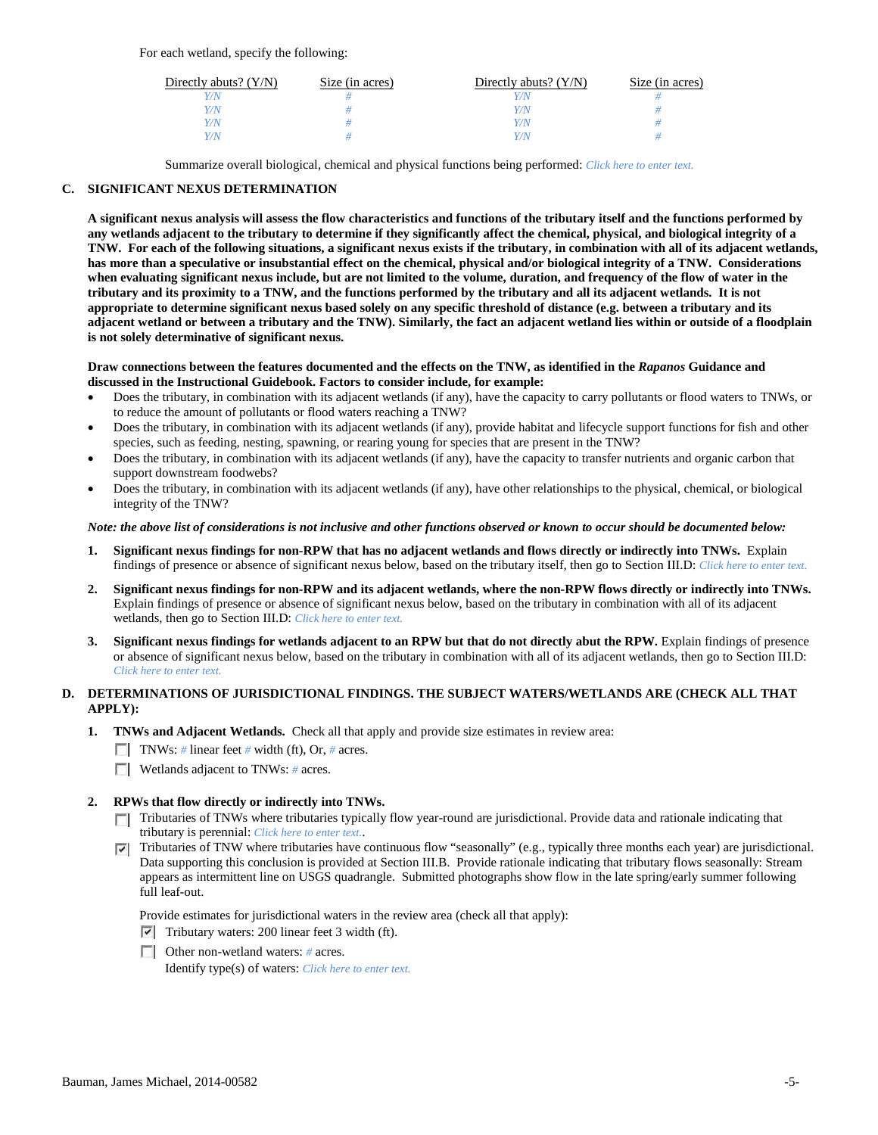For each wetland, specify the following:

| Directly abuts? $(Y/N)$ | Size (in acres) | Directly abuts? $(Y/N)$ | Size (in acres) |
|-------------------------|-----------------|-------------------------|-----------------|
| Y/N                     |                 |                         |                 |
| Y/N                     |                 | Y/N                     |                 |
| Y/N                     |                 | Y/N                     |                 |
| Y/N                     |                 | Y/N                     |                 |

Summarize overall biological, chemical and physical functions being performed: *Click here to enter text.*

## **C. SIGNIFICANT NEXUS DETERMINATION**

**A significant nexus analysis will assess the flow characteristics and functions of the tributary itself and the functions performed by any wetlands adjacent to the tributary to determine if they significantly affect the chemical, physical, and biological integrity of a TNW. For each of the following situations, a significant nexus exists if the tributary, in combination with all of its adjacent wetlands, has more than a speculative or insubstantial effect on the chemical, physical and/or biological integrity of a TNW. Considerations when evaluating significant nexus include, but are not limited to the volume, duration, and frequency of the flow of water in the tributary and its proximity to a TNW, and the functions performed by the tributary and all its adjacent wetlands. It is not appropriate to determine significant nexus based solely on any specific threshold of distance (e.g. between a tributary and its adjacent wetland or between a tributary and the TNW). Similarly, the fact an adjacent wetland lies within or outside of a floodplain is not solely determinative of significant nexus.** 

#### **Draw connections between the features documented and the effects on the TNW, as identified in the** *Rapanos* **Guidance and discussed in the Instructional Guidebook. Factors to consider include, for example:**

- Does the tributary, in combination with its adjacent wetlands (if any), have the capacity to carry pollutants or flood waters to TNWs, or to reduce the amount of pollutants or flood waters reaching a TNW?
- Does the tributary, in combination with its adjacent wetlands (if any), provide habitat and lifecycle support functions for fish and other species, such as feeding, nesting, spawning, or rearing young for species that are present in the TNW?
- Does the tributary, in combination with its adjacent wetlands (if any), have the capacity to transfer nutrients and organic carbon that support downstream foodwebs?
- Does the tributary, in combination with its adjacent wetlands (if any), have other relationships to the physical, chemical, or biological integrity of the TNW?

#### *Note: the above list of considerations is not inclusive and other functions observed or known to occur should be documented below:*

- **1. Significant nexus findings for non-RPW that has no adjacent wetlands and flows directly or indirectly into TNWs.** Explain findings of presence or absence of significant nexus below, based on the tributary itself, then go to Section III.D: *Click here to enter text.*
- **2. Significant nexus findings for non-RPW and its adjacent wetlands, where the non-RPW flows directly or indirectly into TNWs.**  Explain findings of presence or absence of significant nexus below, based on the tributary in combination with all of its adjacent wetlands, then go to Section III.D: *Click here to enter text.*
- **3. Significant nexus findings for wetlands adjacent to an RPW but that do not directly abut the RPW.** Explain findings of presence or absence of significant nexus below, based on the tributary in combination with all of its adjacent wetlands, then go to Section III.D: *Click here to enter text.*

## **D. DETERMINATIONS OF JURISDICTIONAL FINDINGS. THE SUBJECT WATERS/WETLANDS ARE (CHECK ALL THAT APPLY):**

- **1. TNWs and Adjacent Wetlands.** Check all that apply and provide size estimates in review area:
	- TNWs: *#* linear feet *#* width (ft), Or, *#* acres.
	- **Wetlands adjacent to TNWs: # acres.**
- **2. RPWs that flow directly or indirectly into TNWs.**
	- Tributaries of TNWs where tributaries typically flow year-round are jurisdictional. Provide data and rationale indicating that tributary is perennial: *Click here to enter text.*.
	- Tributaries of TNW where tributaries have continuous flow "seasonally" (e.g., typically three months each year) are jurisdictional.  $\overline{\phantom{a}}$ Data supporting this conclusion is provided at Section III.B. Provide rationale indicating that tributary flows seasonally: Stream appears as intermittent line on USGS quadrangle. Submitted photographs show flow in the late spring/early summer following full leaf-out.

Provide estimates for jurisdictional waters in the review area (check all that apply):

- $\triangledown$  Tributary waters: 200 linear feet 3 width (ft).
- Other non-wetland waters: # acres.

Identify type(s) of waters: *Click here to enter text.*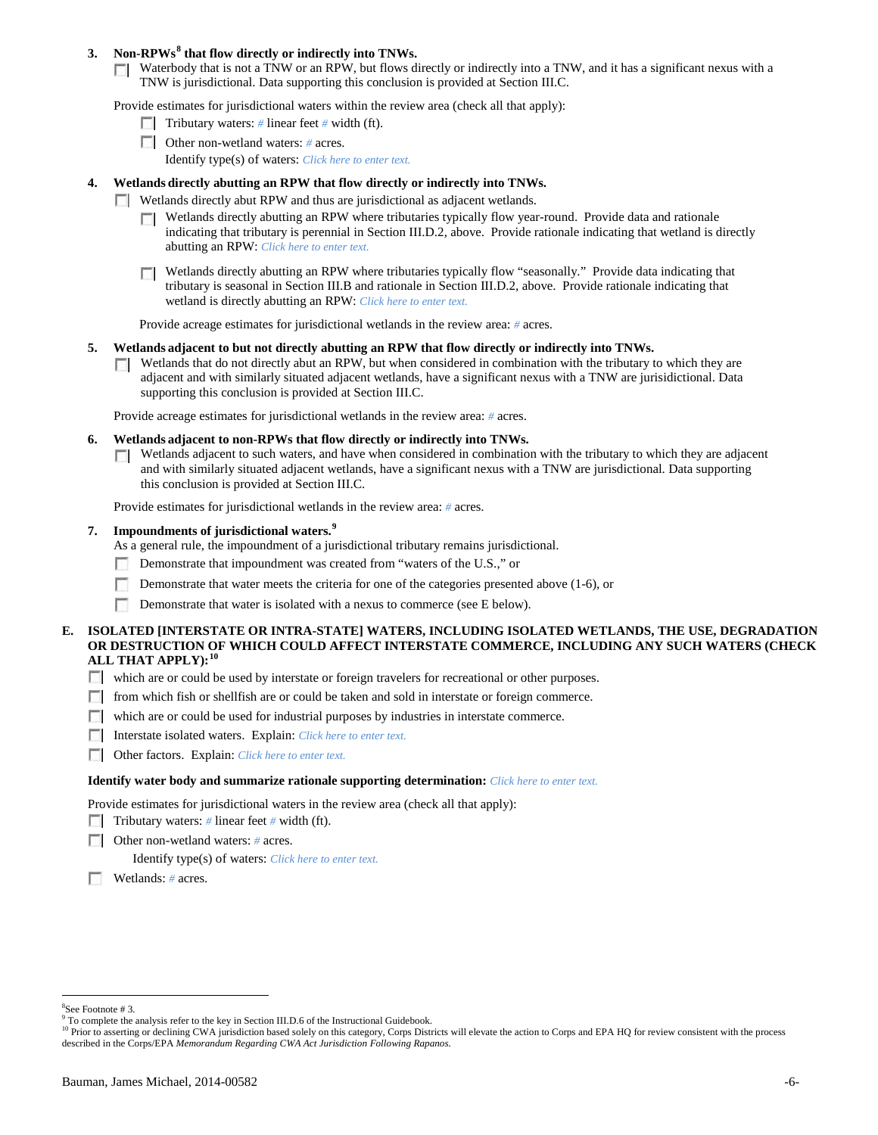# **3. Non-RPWs[8](#page-5-0) that flow directly or indirectly into TNWs.**

Waterbody that is not a TNW or an RPW, but flows directly or indirectly into a TNW, and it has a significant nexus with a TNW is jurisdictional. Data supporting this conclusion is provided at Section III.C.

Provide estimates for jurisdictional waters within the review area (check all that apply):

- **Tributary waters:** # linear feet # width (ft).
- Other non-wetland waters: *#* acres. Identify type(s) of waters: *Click here to enter text.*
- **4. Wetlands directly abutting an RPW that flow directly or indirectly into TNWs.**
	- **Wetlands directly abut RPW and thus are jurisdictional as adjacent wetlands.** 
		- $\Box$  Wetlands directly abutting an RPW where tributaries typically flow year-round. Provide data and rationale indicating that tributary is perennial in Section III.D.2, above. Provide rationale indicating that wetland is directly abutting an RPW: *Click here to enter text.*
		- Wetlands directly abutting an RPW where tributaries typically flow "seasonally." Provide data indicating that  $\Box$ tributary is seasonal in Section III.B and rationale in Section III.D.2, above. Provide rationale indicating that wetland is directly abutting an RPW: *Click here to enter text.*

Provide acreage estimates for jurisdictional wetlands in the review area: *#* acres.

- **5. Wetlands adjacent to but not directly abutting an RPW that flow directly or indirectly into TNWs.**
	- $\Box$  Wetlands that do not directly abut an RPW, but when considered in combination with the tributary to which they are adjacent and with similarly situated adjacent wetlands, have a significant nexus with a TNW are jurisidictional. Data supporting this conclusion is provided at Section III.C.

Provide acreage estimates for jurisdictional wetlands in the review area: *#* acres.

- **6. Wetlands adjacent to non-RPWs that flow directly or indirectly into TNWs.** 
	- Wetlands adjacent to such waters, and have when considered in combination with the tributary to which they are adjacent  $\sim$ and with similarly situated adjacent wetlands, have a significant nexus with a TNW are jurisdictional. Data supporting this conclusion is provided at Section III.C.

Provide estimates for jurisdictional wetlands in the review area: *#* acres.

**7. Impoundments of jurisdictional waters. [9](#page-5-1)**

As a general rule, the impoundment of a jurisdictional tributary remains jurisdictional.

- Demonstrate that impoundment was created from "waters of the U.S.," or
- Demonstrate that water meets the criteria for one of the categories presented above (1-6), or
- n Demonstrate that water is isolated with a nexus to commerce (see E below).
- **E. ISOLATED [INTERSTATE OR INTRA-STATE] WATERS, INCLUDING ISOLATED WETLANDS, THE USE, DEGRADATION OR DESTRUCTION OF WHICH COULD AFFECT INTERSTATE COMMERCE, INCLUDING ANY SUCH WATERS (CHECK ALL THAT APPLY):[10](#page-5-2)**
	- which are or could be used by interstate or foreign travelers for recreational or other purposes.
	- from which fish or shellfish are or could be taken and sold in interstate or foreign commerce.
	- which are or could be used for industrial purposes by industries in interstate commerce.
	- Interstate isolated waters.Explain: *Click here to enter text.*
	- Other factors.Explain: *Click here to enter text.*

#### **Identify water body and summarize rationale supporting determination:** *Click here to enter text.*

Provide estimates for jurisdictional waters in the review area (check all that apply):

- Tributary waters: # linear feet # width (ft).
- Other non-wetland waters: *#* acres.

Identify type(s) of waters: *Click here to enter text.*

Wetlands: *#* acres.

 $\frac{1}{8}$ 

<span id="page-5-0"></span><sup>&</sup>lt;sup>8</sup>See Footnote # 3.<br><sup>9</sup> To complete the analysis refer to the key in Section III.D.6 of the Instructional Guidebook.

<span id="page-5-2"></span><span id="page-5-1"></span><sup>&</sup>lt;sup>10</sup> Prior to asserting or declining CWA jurisdiction based solely on this category, Corps Districts will elevate the action to Corps and EPA HQ for review consistent with the process described in the Corps/EPA *Memorandum Regarding CWA Act Jurisdiction Following Rapanos.*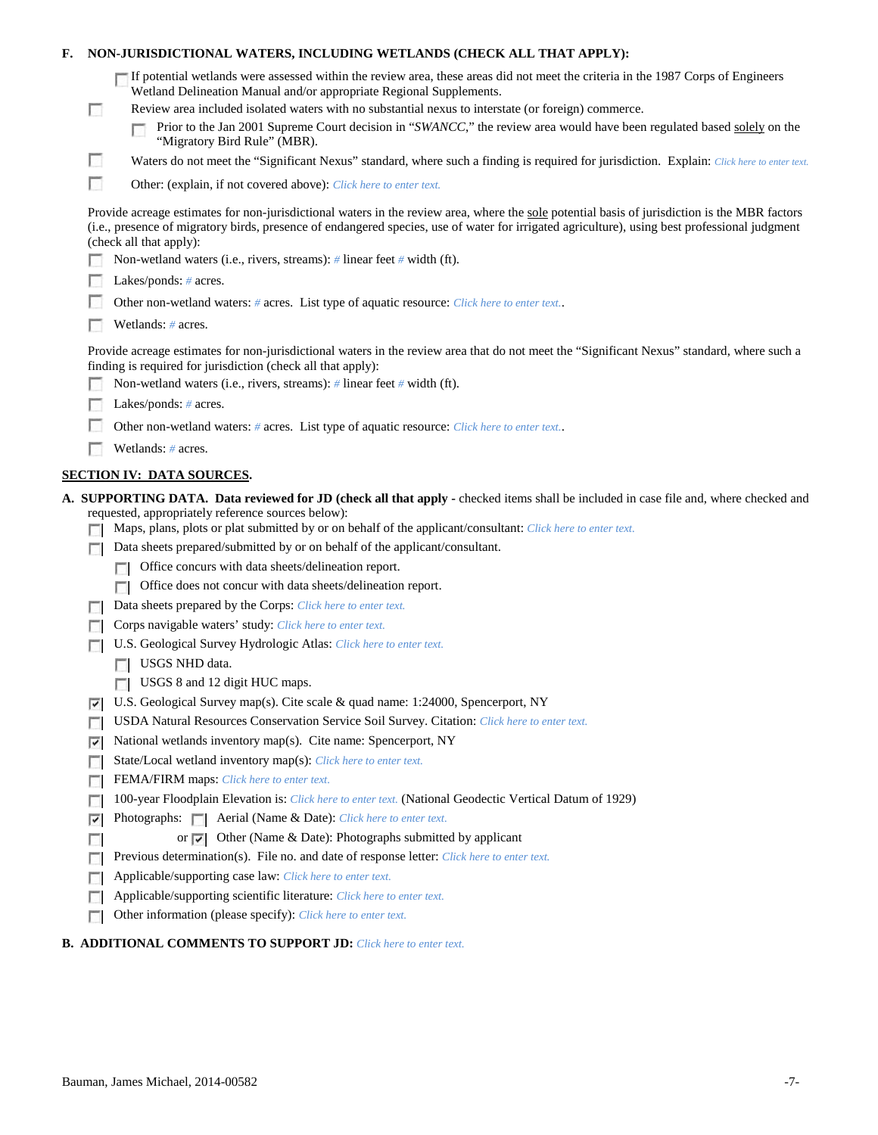| F. |                                                                                                                                                                                                                                                                                                                           | NON-JURISDICTIONAL WATERS, INCLUDING WETLANDS (CHECK ALL THAT APPLY):                                                                                                                                                                                                                                                                                                                                                                                                     |  |  |  |  |  |
|----|---------------------------------------------------------------------------------------------------------------------------------------------------------------------------------------------------------------------------------------------------------------------------------------------------------------------------|---------------------------------------------------------------------------------------------------------------------------------------------------------------------------------------------------------------------------------------------------------------------------------------------------------------------------------------------------------------------------------------------------------------------------------------------------------------------------|--|--|--|--|--|
|    | $\Box$                                                                                                                                                                                                                                                                                                                    | If potential wetlands were assessed within the review area, these areas did not meet the criteria in the 1987 Corps of Engineers<br>Wetland Delineation Manual and/or appropriate Regional Supplements.<br>Review area included isolated waters with no substantial nexus to interstate (or foreign) commerce.<br>Prior to the Jan 2001 Supreme Court decision in "SWANCC," the review area would have been regulated based solely on the<br>"Migratory Bird Rule" (MBR). |  |  |  |  |  |
|    | L.                                                                                                                                                                                                                                                                                                                        | Waters do not meet the "Significant Nexus" standard, where such a finding is required for jurisdiction. Explain: Click here to enter text.                                                                                                                                                                                                                                                                                                                                |  |  |  |  |  |
|    | п                                                                                                                                                                                                                                                                                                                         | Other: (explain, if not covered above): Click here to enter text.                                                                                                                                                                                                                                                                                                                                                                                                         |  |  |  |  |  |
|    | Provide acreage estimates for non-jurisdictional waters in the review area, where the sole potential basis of jurisdiction is the MBR factors<br>(i.e., presence of migratory birds, presence of endangered species, use of water for irrigated agriculture), using best professional judgment<br>(check all that apply): |                                                                                                                                                                                                                                                                                                                                                                                                                                                                           |  |  |  |  |  |
|    |                                                                                                                                                                                                                                                                                                                           | Non-wetland waters (i.e., rivers, streams): # linear feet # width (ft).                                                                                                                                                                                                                                                                                                                                                                                                   |  |  |  |  |  |
|    |                                                                                                                                                                                                                                                                                                                           | Lakes/ponds: $# \, \text{acres.}$                                                                                                                                                                                                                                                                                                                                                                                                                                         |  |  |  |  |  |
|    |                                                                                                                                                                                                                                                                                                                           | Other non-wetland waters: # acres. List type of aquatic resource: Click here to enter text                                                                                                                                                                                                                                                                                                                                                                                |  |  |  |  |  |
|    |                                                                                                                                                                                                                                                                                                                           | Wetlands: # acres.                                                                                                                                                                                                                                                                                                                                                                                                                                                        |  |  |  |  |  |
|    |                                                                                                                                                                                                                                                                                                                           | Provide acreage estimates for non-jurisdictional waters in the review area that do not meet the "Significant Nexus" standard, where such a<br>finding is required for jurisdiction (check all that apply):                                                                                                                                                                                                                                                                |  |  |  |  |  |
|    |                                                                                                                                                                                                                                                                                                                           | Non-wetland waters (i.e., rivers, streams): $\#$ linear feet $\#$ width (ft).                                                                                                                                                                                                                                                                                                                                                                                             |  |  |  |  |  |
|    |                                                                                                                                                                                                                                                                                                                           | Lakes/ponds: $# \, \text{acres.}$                                                                                                                                                                                                                                                                                                                                                                                                                                         |  |  |  |  |  |
|    |                                                                                                                                                                                                                                                                                                                           | Other non-wetland waters: # acres. List type of aquatic resource: Click here to enter text                                                                                                                                                                                                                                                                                                                                                                                |  |  |  |  |  |
|    |                                                                                                                                                                                                                                                                                                                           | Wetlands: # acres.                                                                                                                                                                                                                                                                                                                                                                                                                                                        |  |  |  |  |  |
|    |                                                                                                                                                                                                                                                                                                                           | <b>SECTION IV: DATA SOURCES.</b>                                                                                                                                                                                                                                                                                                                                                                                                                                          |  |  |  |  |  |
|    |                                                                                                                                                                                                                                                                                                                           | A. SUPPORTING DATA. Data reviewed for JD (check all that apply - checked items shall be included in case file and, where checked and<br>requested, appropriately reference sources below):<br>Maps, plans, plots or plat submitted by or on behalf of the applicant/consultant: Click here to enter text.                                                                                                                                                                 |  |  |  |  |  |
|    |                                                                                                                                                                                                                                                                                                                           | Data sheets prepared/submitted by or on behalf of the applicant/consultant.                                                                                                                                                                                                                                                                                                                                                                                               |  |  |  |  |  |
|    |                                                                                                                                                                                                                                                                                                                           | Office concurs with data sheets/delineation report.                                                                                                                                                                                                                                                                                                                                                                                                                       |  |  |  |  |  |
|    |                                                                                                                                                                                                                                                                                                                           | Office does not concur with data sheets/delineation report.                                                                                                                                                                                                                                                                                                                                                                                                               |  |  |  |  |  |
|    |                                                                                                                                                                                                                                                                                                                           | Data sheets prepared by the Corps: Click here to enter text.                                                                                                                                                                                                                                                                                                                                                                                                              |  |  |  |  |  |
|    |                                                                                                                                                                                                                                                                                                                           | Corps navigable waters' study: Click here to enter text.                                                                                                                                                                                                                                                                                                                                                                                                                  |  |  |  |  |  |
|    |                                                                                                                                                                                                                                                                                                                           | U.S. Geological Survey Hydrologic Atlas: Click here to enter text.                                                                                                                                                                                                                                                                                                                                                                                                        |  |  |  |  |  |
|    |                                                                                                                                                                                                                                                                                                                           | USGS NHD data.                                                                                                                                                                                                                                                                                                                                                                                                                                                            |  |  |  |  |  |
|    |                                                                                                                                                                                                                                                                                                                           | USGS 8 and 12 digit HUC maps.                                                                                                                                                                                                                                                                                                                                                                                                                                             |  |  |  |  |  |
|    | ⊽                                                                                                                                                                                                                                                                                                                         | U.S. Geological Survey map(s). Cite scale & quad name: 1:24000, Spencerport, NY                                                                                                                                                                                                                                                                                                                                                                                           |  |  |  |  |  |
|    |                                                                                                                                                                                                                                                                                                                           | USDA Natural Resources Conservation Service Soil Survey. Citation: Click here to enter text.                                                                                                                                                                                                                                                                                                                                                                              |  |  |  |  |  |
|    | ⊽                                                                                                                                                                                                                                                                                                                         | National wetlands inventory map(s). Cite name: Spencerport, NY<br>State/Local wetland inventory map(s): Click here to enter text.                                                                                                                                                                                                                                                                                                                                         |  |  |  |  |  |
|    | г                                                                                                                                                                                                                                                                                                                         | FEMA/FIRM maps: Click here to enter text.                                                                                                                                                                                                                                                                                                                                                                                                                                 |  |  |  |  |  |
|    | п                                                                                                                                                                                                                                                                                                                         | 100-year Floodplain Elevation is: Click here to enter text. (National Geodectic Vertical Datum of 1929)                                                                                                                                                                                                                                                                                                                                                                   |  |  |  |  |  |
|    | ⊽                                                                                                                                                                                                                                                                                                                         |                                                                                                                                                                                                                                                                                                                                                                                                                                                                           |  |  |  |  |  |
|    |                                                                                                                                                                                                                                                                                                                           | or $\triangleright$ Other (Name & Date): Photographs submitted by applicant                                                                                                                                                                                                                                                                                                                                                                                               |  |  |  |  |  |
|    | г                                                                                                                                                                                                                                                                                                                         | Previous determination(s). File no. and date of response letter: Click here to enter text.                                                                                                                                                                                                                                                                                                                                                                                |  |  |  |  |  |
|    |                                                                                                                                                                                                                                                                                                                           | Applicable/supporting case law: Click here to enter text.                                                                                                                                                                                                                                                                                                                                                                                                                 |  |  |  |  |  |
|    | E                                                                                                                                                                                                                                                                                                                         | Applicable/supporting scientific literature: Click here to enter text.                                                                                                                                                                                                                                                                                                                                                                                                    |  |  |  |  |  |
|    | E                                                                                                                                                                                                                                                                                                                         | Other information (please specify): Click here to enter text.                                                                                                                                                                                                                                                                                                                                                                                                             |  |  |  |  |  |
|    |                                                                                                                                                                                                                                                                                                                           |                                                                                                                                                                                                                                                                                                                                                                                                                                                                           |  |  |  |  |  |

# **B. ADDITIONAL COMMENTS TO SUPPORT JD:** *Click here to enter text.*